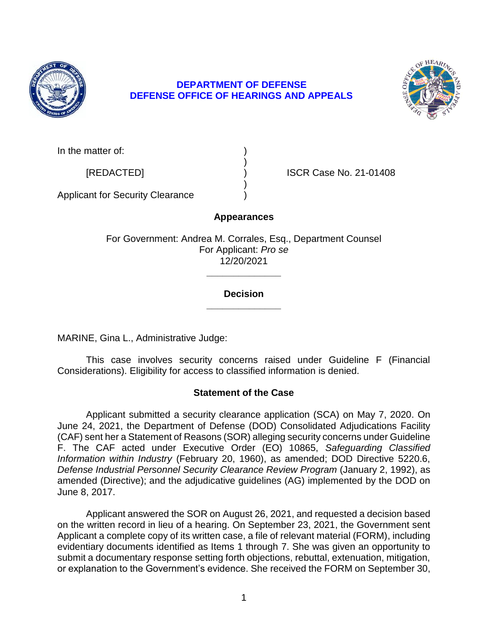

# **DEPARTMENT OF DEFENSE DEFENSE OFFICE OF HEARINGS AND APPEALS**



In the matter of:

[REDACTED] ) ISCR Case No. 21-01408

Applicant for Security Clearance )

# **Appearances**

)

)

For Government: Andrea M. Corrales, Esq., Department Counsel For Applicant: *Pro se*  12/20/2021

# **\_\_\_\_\_\_\_\_\_\_\_\_\_\_ Decision**

**\_\_\_\_\_\_\_\_\_\_\_\_\_\_** 

MARINE, Gina L., Administrative Judge:

 This case involves security concerns raised under Guideline F (Financial Considerations). Eligibility for access to classified information is denied.

## **Statement of the Case**

Applicant submitted a security clearance application (SCA) on May 7, 2020. On June 24, 2021, the Department of Defense (DOD) Consolidated Adjudications Facility (CAF) sent her a Statement of Reasons (SOR) alleging security concerns under Guideline F. The CAF acted under Executive Order (EO) 10865, *Safeguarding Classified Information within Industry* (February 20, 1960), as amended; DOD Directive 5220.6, *Defense Industrial Personnel Security Clearance Review Program* (January 2, 1992), as amended (Directive); and the adjudicative guidelines (AG) implemented by the DOD on June 8, 2017.

 Applicant answered the SOR on August 26, 2021, and requested a decision based on the written record in lieu of a hearing. On September 23, 2021, the Government sent Applicant a complete copy of its written case, a file of relevant material (FORM), including evidentiary documents identified as Items 1 through 7. She was given an opportunity to submit a documentary response setting forth objections, rebuttal, extenuation, mitigation, or explanation to the Government's evidence. She received the FORM on September 30,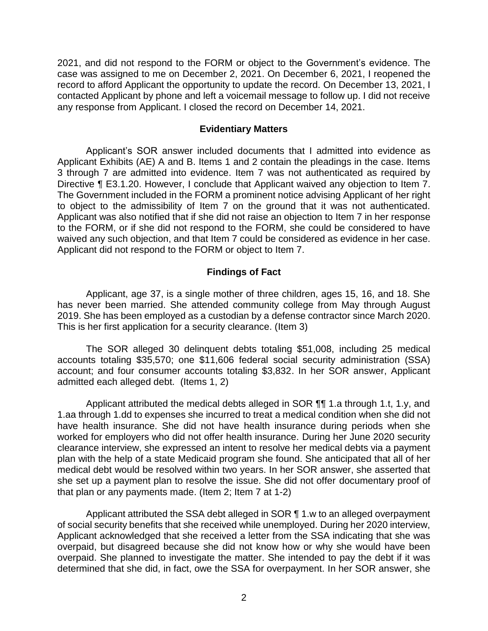2021, and did not respond to the FORM or object to the Government's evidence. The case was assigned to me on December 2, 2021. On December 6, 2021, I reopened the record to afford Applicant the opportunity to update the record. On December 13, 2021, I contacted Applicant by phone and left a voicemail message to follow up. I did not receive any response from Applicant. I closed the record on December 14, 2021.

#### **Evidentiary Matters**

 Applicant's SOR answer included documents that I admitted into evidence as Applicant Exhibits (AE) A and B. Items 1 and 2 contain the pleadings in the case. Items 3 through 7 are admitted into evidence. Item 7 was not authenticated as required by Directive ¶ E3.1.20. However, I conclude that Applicant waived any objection to Item 7. The Government included in the FORM a prominent notice advising Applicant of her right to object to the admissibility of Item 7 on the ground that it was not authenticated. Applicant was also notified that if she did not raise an objection to Item 7 in her response to the FORM, or if she did not respond to the FORM, she could be considered to have waived any such objection, and that Item 7 could be considered as evidence in her case. Applicant did not respond to the FORM or object to Item 7.

### **Findings of Fact**

 Applicant, age 37, is a single mother of three children, ages 15, 16, and 18. She has never been married. She attended community college from May through August 2019. She has been employed as a custodian by a defense contractor since March 2020. This is her first application for a security clearance. (Item 3)

 The SOR alleged 30 delinquent debts totaling \$51,008, including 25 medical accounts totaling \$35,570; one \$11,606 federal social security administration (SSA) account; and four consumer accounts totaling \$3,832. In her SOR answer, Applicant admitted each alleged debt. (Items 1, 2)

Applicant attributed the medical debts alleged in SOR  $\P\P$  1.a through 1.t, 1.y, and 1.aa through 1.dd to expenses she incurred to treat a medical condition when she did not have health insurance. She did not have health insurance during periods when she worked for employers who did not offer health insurance. During her June 2020 security plan with the help of a state Medicaid program she found. She anticipated that all of her medical debt would be resolved within two years. In her SOR answer, she asserted that she set up a payment plan to resolve the issue. She did not offer documentary proof of clearance interview, she expressed an intent to resolve her medical debts via a payment that plan or any payments made. (Item 2; Item 7 at 1-2)

Applicant attributed the SSA debt alleged in SOR ¶ 1.w to an alleged overpayment of social security benefits that she received while unemployed. During her 2020 interview, Applicant acknowledged that she received a letter from the SSA indicating that she was overpaid, but disagreed because she did not know how or why she would have been overpaid. She planned to investigate the matter. She intended to pay the debt if it was determined that she did, in fact, owe the SSA for overpayment. In her SOR answer, she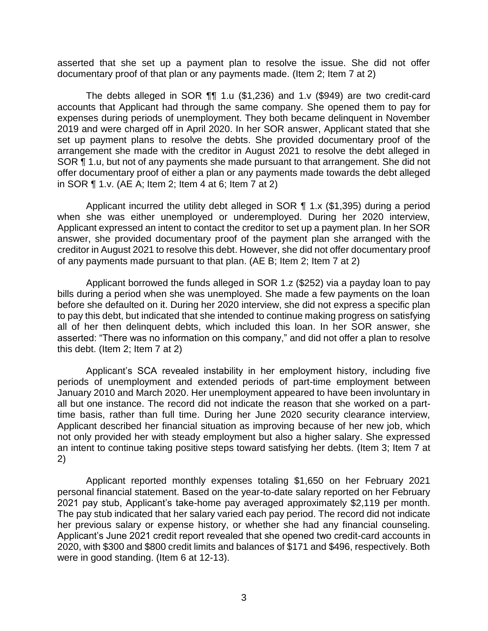asserted that she set up a payment plan to resolve the issue. She did not offer documentary proof of that plan or any payments made. (Item 2; Item 7 at 2)

 The debts alleged in SOR ¶¶ 1.u (\$1,236) and 1.v (\$949) are two credit-card accounts that Applicant had through the same company. She opened them to pay for expenses during periods of unemployment. They both became delinquent in November 2019 and were charged off in April 2020. In her SOR answer, Applicant stated that she set up payment plans to resolve the debts. She provided documentary proof of the arrangement she made with the creditor in August 2021 to resolve the debt alleged in SOR ¶ 1.u, but not of any payments she made pursuant to that arrangement. She did not offer documentary proof of either a plan or any payments made towards the debt alleged in SOR ¶ 1.v. (AE A; Item 2; Item 4 at 6; Item 7 at 2)

 Applicant incurred the utility debt alleged in SOR ¶ 1.x (\$1,395) during a period when she was either unemployed or underemployed. During her 2020 interview, Applicant expressed an intent to contact the creditor to set up a payment plan. In her SOR answer, she provided documentary proof of the payment plan she arranged with the creditor in August 2021 to resolve this debt. However, she did not offer documentary proof of any payments made pursuant to that plan. (AE B; Item 2; Item 7 at 2)

 Applicant borrowed the funds alleged in SOR 1.z (\$252) via a payday loan to pay bills during a period when she was unemployed. She made a few payments on the loan before she defaulted on it. During her 2020 interview, she did not express a specific plan to pay this debt, but indicated that she intended to continue making progress on satisfying all of her then delinquent debts, which included this loan. In her SOR answer, she asserted: "There was no information on this company," and did not offer a plan to resolve this debt. (Item 2; Item 7 at 2)

 Applicant's SCA revealed instability in her employment history, including five periods of unemployment and extended periods of part-time employment between January 2010 and March 2020. Her unemployment appeared to have been involuntary in all but one instance. The record did not indicate the reason that she worked on a part- time basis, rather than full time. During her June 2020 security clearance interview, Applicant described her financial situation as improving because of her new job, which not only provided her with steady employment but also a higher salary. She expressed an intent to continue taking positive steps toward satisfying her debts. (Item 3; Item 7 at 2)

 Applicant reported monthly expenses totaling \$1,650 on her February 2021 personal financial statement. Based on the year-to-date salary reported on her February 2021 pay stub, Applicant's take-home pay averaged approximately \$2,119 per month. The pay stub indicated that her salary varied each pay period. The record did not indicate her previous salary or expense history, or whether she had any financial counseling. Applicant's June 2021 credit report revealed that she opened two credit-card accounts in 2020, with \$300 and \$800 credit limits and balances of \$171 and \$496, respectively. Both were in good standing. (Item 6 at 12-13).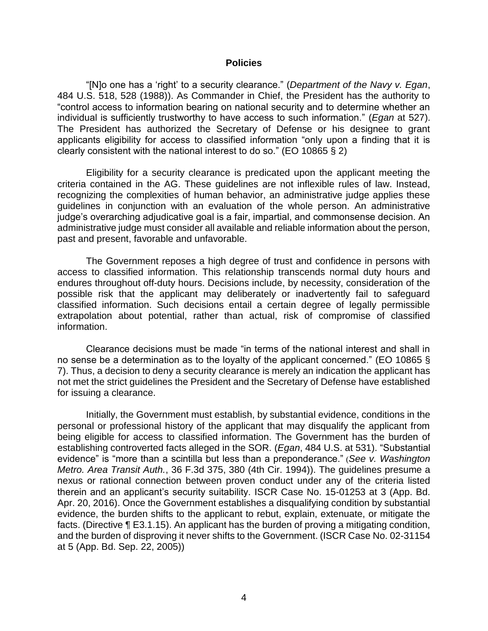#### **Policies**

 "[N]o one has a 'right' to a security clearance." (*Department of the Navy v. Egan*, 484 U.S. 518, 528 (1988)). As Commander in Chief, the President has the authority to "control access to information bearing on national security and to determine whether an individual is sufficiently trustworthy to have access to such information." (*Egan* at 527). The President has authorized the Secretary of Defense or his designee to grant applicants eligibility for access to classified information "only upon a finding that it is clearly consistent with the national interest to do so." (EO 10865 § 2)

 Eligibility for a security clearance is predicated upon the applicant meeting the criteria contained in the AG. These guidelines are not inflexible rules of law. Instead, recognizing the complexities of human behavior, an administrative judge applies these guidelines in conjunction with an evaluation of the whole person. An administrative administrative judge must consider all available and reliable information about the person, judge's overarching adjudicative goal is a fair, impartial, and commonsense decision. An past and present, favorable and unfavorable.

 The Government reposes a high degree of trust and confidence in persons with access to classified information. This relationship transcends normal duty hours and endures throughout off-duty hours. Decisions include, by necessity, consideration of the possible risk that the applicant may deliberately or inadvertently fail to safeguard classified information. Such decisions entail a certain degree of legally permissible extrapolation about potential, rather than actual, risk of compromise of classified information.

 Clearance decisions must be made "in terms of the national interest and shall in no sense be a determination as to the loyalty of the applicant concerned." (EO 10865 § 7). Thus, a decision to deny a security clearance is merely an indication the applicant has not met the strict guidelines the President and the Secretary of Defense have established for issuing a clearance.

 Initially, the Government must establish, by substantial evidence, conditions in the personal or professional history of the applicant that may disqualify the applicant from being eligible for access to classified information. The Government has the burden of establishing controverted facts alleged in the SOR. (*Egan*, 484 U.S. at 531). "Substantial evidence" is "more than a scintilla but less than a preponderance." (*See v. Washington Metro. Area Transit Auth.*, 36 F.3d 375, 380 (4th Cir. 1994)). The guidelines presume a nexus or rational connection between proven conduct under any of the criteria listed therein and an applicant's security suitability. ISCR Case No. 15-01253 at 3 (App. Bd. Apr. 20, 2016). Once the Government establishes a disqualifying condition by substantial evidence, the burden shifts to the applicant to rebut, explain, extenuate, or mitigate the facts. (Directive ¶ E3.1.15). An applicant has the burden of proving a mitigating condition, and the burden of disproving it never shifts to the Government. (ISCR Case No. 02-31154 at 5 (App. Bd. Sep. 22, 2005))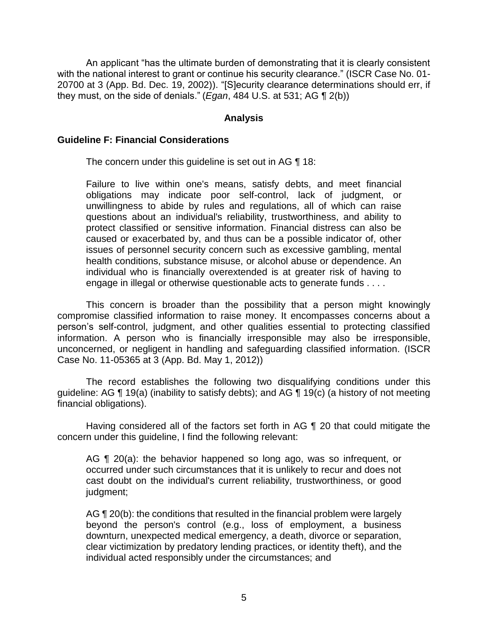with the national interest to grant or continue his security clearance." (ISCR Case No. 01- 20700 at 3 (App. Bd. Dec. 19, 2002)). "[S]ecurity clearance determinations should err, if An applicant "has the ultimate burden of demonstrating that it is clearly consistent they must, on the side of denials." (*Egan*, 484 U.S. at 531; AG ¶ 2(b))

### **Analysis**

### **Guideline F: Financial Considerations**

The concern under this guideline is set out in AG ¶ 18:

Failure to live within one's means, satisfy debts, and meet financial obligations may indicate poor self-control, lack of judgment, or unwillingness to abide by rules and regulations, all of which can raise questions about an individual's reliability, trustworthiness, and ability to protect classified or sensitive information. Financial distress can also be caused or exacerbated by, and thus can be a possible indicator of, other issues of personnel security concern such as excessive gambling, mental health conditions, substance misuse, or alcohol abuse or dependence. An individual who is financially overextended is at greater risk of having to engage in illegal or otherwise questionable acts to generate funds . . . .

 This concern is broader than the possibility that a person might knowingly compromise classified information to raise money. It encompasses concerns about a person's self-control, judgment, and other qualities essential to protecting classified information. A person who is financially irresponsible may also be irresponsible, unconcerned, or negligent in handling and safeguarding classified information. (ISCR Case No. 11-05365 at 3 (App. Bd. May 1, 2012))

 The record establishes the following two disqualifying conditions under this guideline: AG ¶ 19(a) (inability to satisfy debts); and AG ¶ 19(c) (a history of not meeting financial obligations).

 Having considered all of the factors set forth in AG ¶ 20 that could mitigate the concern under this guideline, I find the following relevant:

AG ¶ 20(a): the behavior happened so long ago, was so infrequent, or occurred under such circumstances that it is unlikely to recur and does not cast doubt on the individual's current reliability, trustworthiness, or good judgment;

AG ¶ 20(b): the conditions that resulted in the financial problem were largely beyond the person's control (e.g., loss of employment, a business clear victimization by predatory lending practices, or identity theft), and the downturn, unexpected medical emergency, a death, divorce or separation, individual acted responsibly under the circumstances; and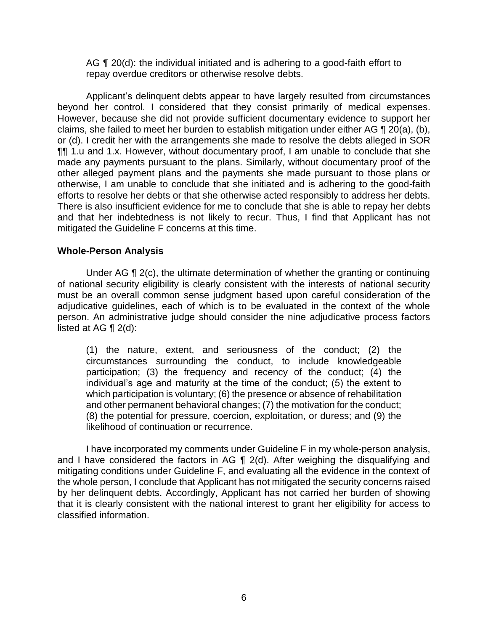AG ¶ 20(d): the individual initiated and is adhering to a good-faith effort to repay overdue creditors or otherwise resolve debts.

 Applicant's delinquent debts appear to have largely resulted from circumstances beyond her control. I considered that they consist primarily of medical expenses. However, because she did not provide sufficient documentary evidence to support her claims, she failed to meet her burden to establish mitigation under either AG  $\P$  20(a), (b), or (d). I credit her with the arrangements she made to resolve the debts alleged in SOR ¶¶ 1.u and 1.x. However, without documentary proof, I am unable to conclude that she made any payments pursuant to the plans. Similarly, without documentary proof of the other alleged payment plans and the payments she made pursuant to those plans or otherwise, I am unable to conclude that she initiated and is adhering to the good-faith efforts to resolve her debts or that she otherwise acted responsibly to address her debts. There is also insufficient evidence for me to conclude that she is able to repay her debts and that her indebtedness is not likely to recur. Thus, I find that Applicant has not mitigated the Guideline F concerns at this time.

## **Whole-Person Analysis**

Under AG ¶ 2(c), the ultimate determination of whether the granting or continuing of national security eligibility is clearly consistent with the interests of national security must be an overall common sense judgment based upon careful consideration of the adjudicative guidelines, each of which is to be evaluated in the context of the whole person. An administrative judge should consider the nine adjudicative process factors listed at AG  $\P$  2(d):

(1) the nature, extent, and seriousness of the conduct; (2) the circumstances surrounding the conduct, to include knowledgeable participation; (3) the frequency and recency of the conduct; (4) the individual's age and maturity at the time of the conduct; (5) the extent to which participation is voluntary; (6) the presence or absence of rehabilitation and other permanent behavioral changes; (7) the motivation for the conduct; (8) the potential for pressure, coercion, exploitation, or duress; and (9) the likelihood of continuation or recurrence.

and I have considered the factors in AG  $\P$  2(d). After weighing the disqualifying and mitigating conditions under Guideline F, and evaluating all the evidence in the context of the whole person, I conclude that Applicant has not mitigated the security concerns raised by her delinquent debts. Accordingly, Applicant has not carried her burden of showing that it is clearly consistent with the national interest to grant her eligibility for access to I have incorporated my comments under Guideline F in my whole-person analysis, classified information.